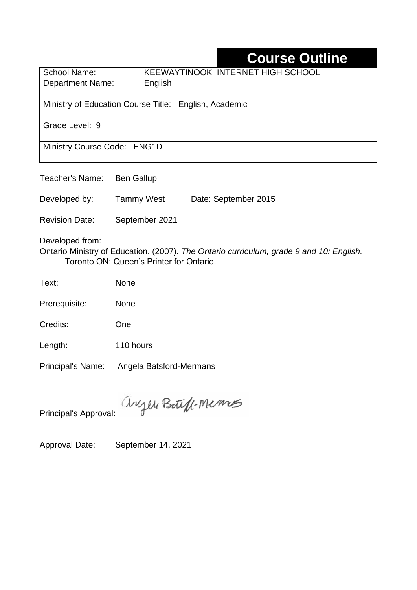# **Course Outline**

| <b>School Name:</b> | KEEWAYTINOOK INTERNET HIGH SCHOOL |
|---------------------|-----------------------------------|
| Department Name:    | English                           |

Ministry of Education Course Title:English, Academic

Grade Level: 9

Ministry Course Code: ENG1D

Teacher's Name: Ben Gallup

Developed by: Tammy West Date: September 2015

Revision Date: September 2021

Developed from:

Ontario Ministry of Education. (2007). *The Ontario curriculum, grade 9 and 10: English.*  Toronto ON: Queen's Printer for Ontario.

Text: None

Prerequisite: None

Credits: One

Length: 110 hours

Principal's Name: Angela Batsford-Mermans

anyen Boteff-Memos

Principal's Approval:

Approval Date: September 14, 2021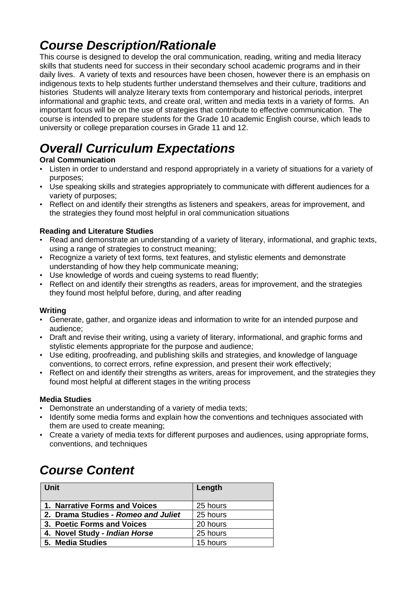# *Course Description/Rationale*

This course is designed to develop the oral communication, reading, writing and media literacy skills that students need for success in their secondary school academic programs and in their daily lives. A variety of texts and resources have been chosen, however there is an emphasis on indigenous texts to help students further understand themselves and their culture, traditions and histories Students will analyze literary texts from contemporary and historical periods, interpret informational and graphic texts, and create oral, written and media texts in a variety of forms. An important focus will be on the use of strategies that contribute to effective communication. The course is intended to prepare students for the Grade 10 academic English course, which leads to university or college preparation courses in Grade 11 and 12.

# *Overall Curriculum Expectations*

#### **Oral Communication**

- Listen in order to understand and respond appropriately in a variety of situations for a variety of purposes;
- Use speaking skills and strategies appropriately to communicate with different audiences for a variety of purposes;
- Reflect on and identify their strengths as listeners and speakers, areas for improvement, and the strategies they found most helpful in oral communication situations

#### **Reading and Literature Studies**

- Read and demonstrate an understanding of a variety of literary, informational, and graphic texts, using a range of strategies to construct meaning;
- Recognize a variety of text forms, text features, and stylistic elements and demonstrate understanding of how they help communicate meaning;
- Use knowledge of words and cueing systems to read fluently;
- Reflect on and identify their strengths as readers, areas for improvement, and the strategies they found most helpful before, during, and after reading

#### **Writing**

- Generate, gather, and organize ideas and information to write for an intended purpose and audience;
- Draft and revise their writing, using a variety of literary, informational, and graphic forms and stylistic elements appropriate for the purpose and audience;
- Use editing, proofreading, and publishing skills and strategies, and knowledge of language conventions, to correct errors, refine expression, and present their work effectively;
- Reflect on and identify their strengths as writers, areas for improvement, and the strategies they found most helpful at different stages in the writing process

#### **Media Studies**

- Demonstrate an understanding of a variety of media texts;
- Identify some media forms and explain how the conventions and techniques associated with them are used to create meaning;
- Create a variety of media texts for different purposes and audiences, using appropriate forms, conventions, and techniques

# *Course Content*

| Unit                                | Length   |
|-------------------------------------|----------|
| 1. Narrative Forms and Voices       | 25 hours |
| 2. Drama Studies - Romeo and Juliet | 25 hours |
| 3. Poetic Forms and Voices          | 20 hours |
| 4. Novel Study - Indian Horse       | 25 hours |
| 5. Media Studies                    | 15 hours |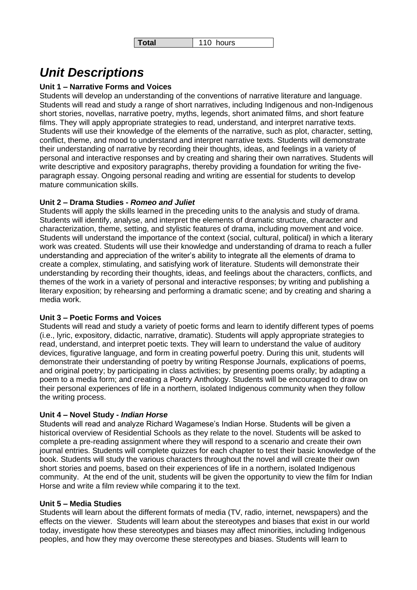### *Unit Descriptions*

#### **Unit 1 – Narrative Forms and Voices**

Students will develop an understanding of the conventions of narrative literature and language. Students will read and study a range of short narratives, including Indigenous and non-Indigenous short stories, novellas, narrative poetry, myths, legends, short animated films, and short feature films. They will apply appropriate strategies to read, understand, and interpret narrative texts. Students will use their knowledge of the elements of the narrative, such as plot, character, setting, conflict, theme, and mood to understand and interpret narrative texts. Students will demonstrate their understanding of narrative by recording their thoughts, ideas, and feelings in a variety of personal and interactive responses and by creating and sharing their own narratives. Students will write descriptive and expository paragraphs, thereby providing a foundation for writing the fiveparagraph essay. Ongoing personal reading and writing are essential for students to develop mature communication skills.

#### **Unit 2 – Drama Studies -** *Romeo and Juliet*

Students will apply the skills learned in the preceding units to the analysis and study of drama. Students will identify, analyse, and interpret the elements of dramatic structure, character and characterization, theme, setting, and stylistic features of drama, including movement and voice. Students will understand the importance of the context (social, cultural, political) in which a literary work was created. Students will use their knowledge and understanding of drama to reach a fuller understanding and appreciation of the writer's ability to integrate all the elements of drama to create a complex, stimulating, and satisfying work of literature. Students will demonstrate their understanding by recording their thoughts, ideas, and feelings about the characters, conflicts, and themes of the work in a variety of personal and interactive responses; by writing and publishing a literary exposition; by rehearsing and performing a dramatic scene; and by creating and sharing a media work.

#### **Unit 3 – Poetic Forms and Voices**

Students will read and study a variety of poetic forms and learn to identify different types of poems (i.e., lyric, expository, didactic, narrative, dramatic). Students will apply appropriate strategies to read, understand, and interpret poetic texts. They will learn to understand the value of auditory devices, figurative language, and form in creating powerful poetry. During this unit, students will demonstrate their understanding of poetry by writing Response Journals, explications of poems, and original poetry; by participating in class activities; by presenting poems orally; by adapting a poem to a media form; and creating a Poetry Anthology. Students will be encouraged to draw on their personal experiences of life in a northern, isolated Indigenous community when they follow the writing process.

#### **Unit 4 – Novel Study -** *Indian Horse*

Students will read and analyze Richard Wagamese's Indian Horse. Students will be given a historical overview of Residential Schools as they relate to the novel. Students will be asked to complete a pre-reading assignment where they will respond to a scenario and create their own journal entries. Students will complete quizzes for each chapter to test their basic knowledge of the book. Students will study the various characters throughout the novel and will create their own short stories and poems, based on their experiences of life in a northern, isolated Indigenous community. At the end of the unit, students will be given the opportunity to view the film for Indian Horse and write a film review while comparing it to the text.

#### **Unit 5 – Media Studies**

Students will learn about the different formats of media (TV, radio, internet, newspapers) and the effects on the viewer. Students will learn about the stereotypes and biases that exist in our world today, investigate how these stereotypes and biases may affect minorities, including Indigenous peoples, and how they may overcome these stereotypes and biases. Students will learn to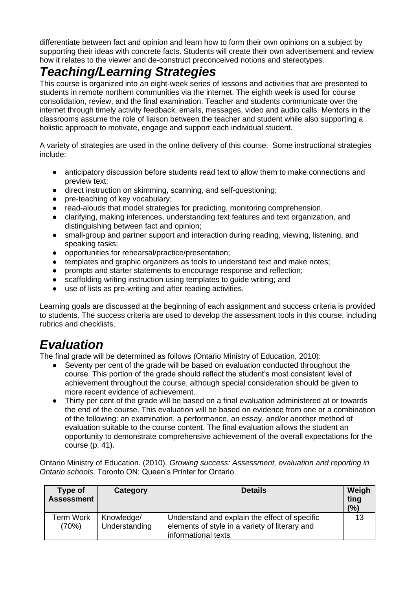differentiate between fact and opinion and learn how to form their own opinions on a subject by supporting their ideas with concrete facts. Students will create their own advertisement and review how it relates to the viewer and de-construct preconceived notions and stereotypes.

### *Teaching/Learning Strategies*

This course is organized into an eight-week series of lessons and activities that are presented to students in remote northern communities via the internet. The eighth week is used for course consolidation, review, and the final examination. Teacher and students communicate over the internet through timely activity feedback, emails, messages, video and audio calls. Mentors in the classrooms assume the role of liaison between the teacher and student while also supporting a holistic approach to motivate, engage and support each individual student.

A variety of strategies are used in the online delivery of this course. Some instructional strategies include:

- anticipatory discussion before students read text to allow them to make connections and preview text;
- direct instruction on skimming, scanning, and self-questioning;
- pre-teaching of key vocabulary;
- read-alouds that model strategies for predicting, monitoring comprehension,
- clarifying, making inferences, understanding text features and text organization, and distinguishing between fact and opinion;
- small-group and partner support and interaction during reading, viewing, listening, and speaking tasks:
- opportunities for rehearsal/practice/presentation;
- templates and graphic organizers as tools to understand text and make notes:
- prompts and starter statements to encourage response and reflection;
- scaffolding writing instruction using templates to guide writing; and
- use of lists as pre-writing and after reading activities.

Learning goals are discussed at the beginning of each assignment and success criteria is provided to students. The success criteria are used to develop the assessment tools in this course, including rubrics and checklists.

### *Evaluation*

The final grade will be determined as follows (Ontario Ministry of Education, 2010):

- Seventy per cent of the grade will be based on evaluation conducted throughout the course. This portion of the grade should reflect the student's most consistent level of achievement throughout the course, although special consideration should be given to more recent evidence of achievement.
- Thirty per cent of the grade will be based on a final evaluation administered at or towards the end of the course. This evaluation will be based on evidence from one or a combination of the following: an examination, a performance, an essay, and/or another method of evaluation suitable to the course content. The final evaluation allows the student an opportunity to demonstrate comprehensive achievement of the overall expectations for the course (p. 41).

Ontario Ministry of Education. (2010). *Growing success: Assessment, evaluation and reporting in Ontario schools*. Toronto ON: Queen's Printer for Ontario.

| Type of<br><b>Assessment</b> | Category                    | <b>Details</b>                                                                                                         | Weigh<br>ting<br>(%) |
|------------------------------|-----------------------------|------------------------------------------------------------------------------------------------------------------------|----------------------|
| Term Work<br>(70%)           | Knowledge/<br>Understanding | Understand and explain the effect of specific<br>elements of style in a variety of literary and<br>informational texts | 13                   |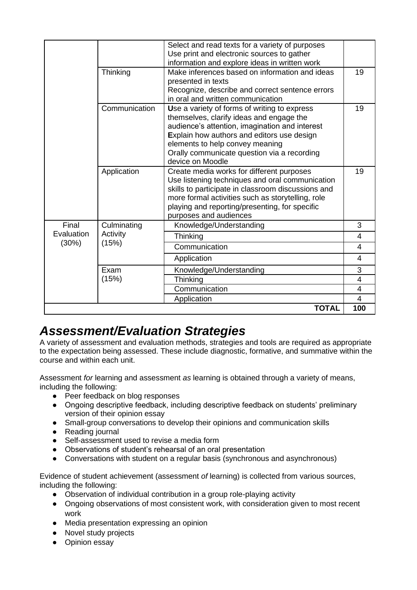|                              |                                  | Select and read texts for a variety of purposes<br>Use print and electronic sources to gather<br>information and explore ideas in written work                                                                                                                                                 |                |
|------------------------------|----------------------------------|------------------------------------------------------------------------------------------------------------------------------------------------------------------------------------------------------------------------------------------------------------------------------------------------|----------------|
|                              | Thinking                         | Make inferences based on information and ideas<br>presented in texts<br>Recognize, describe and correct sentence errors                                                                                                                                                                        | 19             |
|                              |                                  | in oral and written communication                                                                                                                                                                                                                                                              |                |
|                              | Communication                    | Use a variety of forms of writing to express<br>themselves, clarify ideas and engage the<br>audience's attention, imagination and interest<br>Explain how authors and editors use design<br>elements to help convey meaning<br>Orally communicate question via a recording<br>device on Moodle | 19             |
|                              | Application                      | Create media works for different purposes<br>Use listening techniques and oral communication<br>skills to participate in classroom discussions and<br>more formal activities such as storytelling, role<br>playing and reporting/presenting, for specific<br>purposes and audiences            | 19             |
| Final<br>Evaluation<br>(30%) | Culminating<br>Activity<br>(15%) | Knowledge/Understanding                                                                                                                                                                                                                                                                        | 3              |
|                              |                                  | <b>Thinking</b>                                                                                                                                                                                                                                                                                | 4              |
|                              |                                  | Communication                                                                                                                                                                                                                                                                                  | 4              |
|                              |                                  | Application                                                                                                                                                                                                                                                                                    | 4              |
|                              | Exam                             | Knowledge/Understanding                                                                                                                                                                                                                                                                        | 3              |
|                              | (15%)                            | Thinking                                                                                                                                                                                                                                                                                       | 4              |
|                              |                                  | Communication                                                                                                                                                                                                                                                                                  | $\overline{4}$ |
|                              |                                  | Application                                                                                                                                                                                                                                                                                    | $\overline{4}$ |
|                              |                                  | <b>TOTAL</b>                                                                                                                                                                                                                                                                                   | 100            |

### *Assessment/Evaluation Strategies*

A variety of assessment and evaluation methods, strategies and tools are required as appropriate to the expectation being assessed. These include diagnostic, formative, and summative within the course and within each unit.

Assessment *for* learning and assessment *as* learning is obtained through a variety of means, including the following:

- Peer feedback on blog responses
- Ongoing descriptive feedback, including descriptive feedback on students' preliminary version of their opinion essay
- Small-group conversations to develop their opinions and communication skills
- Reading journal
- Self-assessment used to revise a media form
- Observations of student's rehearsal of an oral presentation
- Conversations with student on a regular basis (synchronous and asynchronous)

Evidence of student achievement (assessment *of* learning) is collected from various sources, including the following:

- Observation of individual contribution in a group role-playing activity
- Ongoing observations of most consistent work, with consideration given to most recent work
- Media presentation expressing an opinion
- Novel study projects
- Opinion essay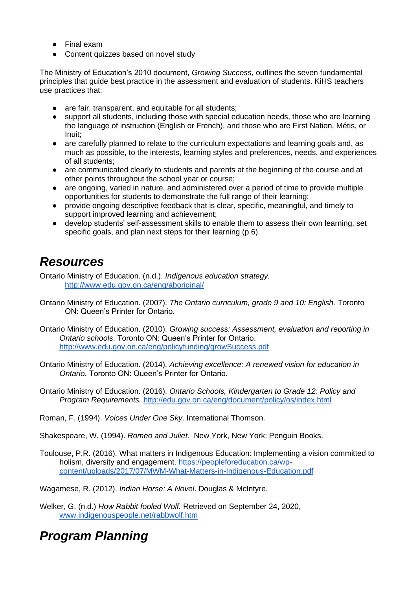- Final exam
- Content quizzes based on novel study

The Ministry of Education's 2010 document, *Growing Success*, outlines the seven fundamental principles that guide best practice in the assessment and evaluation of students. KiHS teachers use practices that:

- are fair, transparent, and equitable for all students:
- support all students, including those with special education needs, those who are learning the language of instruction (English or French), and those who are First Nation, Métis, or Inuit;
- are carefully planned to relate to the curriculum expectations and learning goals and, as much as possible, to the interests, learning styles and preferences, needs, and experiences of all students;
- are communicated clearly to students and parents at the beginning of the course and at other points throughout the school year or course;
- are ongoing, varied in nature, and administered over a period of time to provide multiple opportunities for students to demonstrate the full range of their learning;
- provide ongoing descriptive feedback that is clear, specific, meaningful, and timely to support improved learning and achievement;
- develop students' self-assessment skills to enable them to assess their own learning, set specific goals, and plan next steps for their learning (p.6).

### *Resources*

Ontario Ministry of Education. (n.d.). *Indigenous education strategy.* <http://www.edu.gov.on.ca/eng/aboriginal/>

- Ontario Ministry of Education. (2007). *The Ontario curriculum, grade 9 and 10: English.* Toronto ON: Queen's Printer for Ontario.
- Ontario Ministry of Education. (2010). *Growing success: Assessment, evaluation and reporting in Ontario schools*. Toronto ON: Queen's Printer for Ontario. <http://www.edu.gov.on.ca/eng/policyfunding/growSuccess.pdf>
- Ontario Ministry of Education. (2014). *Achieving excellence: A renewed vision for education in Ontario.* Toronto ON: Queen's Printer for Ontario.
- Ontario Ministry of Education. (2016). *Ontario Schools, Kindergarten to Grade 12: Policy and Program Requirements.* <http://edu.gov.on.ca/eng/document/policy/os/index.html>

Roman, F. (1994). *Voices Under One Sky*. International Thomson.

Shakespeare, W. (1994). *Romeo and Juliet.* New York, New York: Penguin Books.

Toulouse, P.R. (2016). What matters in Indigenous Education: Implementing a vision committed to holism, diversity and engagement. [https://peopleforeducation.ca/wp](https://peopleforeducation.ca/wp-content/uploads/2017/07/MWM-What-Matters-in-Indigenous-Education.pdf)[content/uploads/2017/07/MWM-What-Matters-in-Indigenous-Education.pdf](https://peopleforeducation.ca/wp-content/uploads/2017/07/MWM-What-Matters-in-Indigenous-Education.pdf)

Wagamese, R. (2012). *Indian Horse: A Novel*. Douglas & McIntyre.

Welker, G. (n.d.) *How Rabbit fooled Wolf.* Retrieved on September 24, 2020, [www.indigenouspeople.net/rabbwolf.htm](http://www.indigenouspeople.net/rabbwolf.htm)

# *Program Planning*